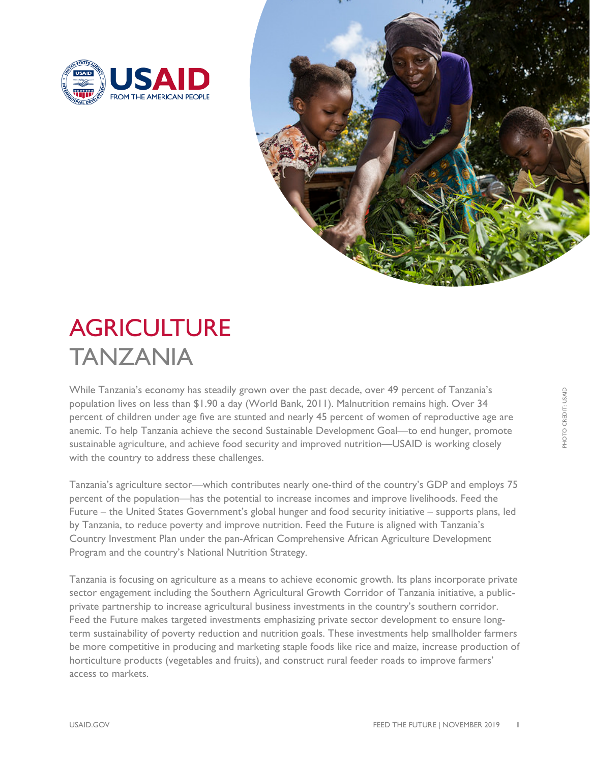



# **AGRICULTURE** TANZANIA

While Tanzania's economy has steadily grown over the past decade, over 49 percent of Tanzania's population lives on less than \$1.90 a day (World Bank, 2011). Malnutrition remains high. Over 34 percent of children under age five are stunted and nearly 45 percent of women of reproductive age are anemic. To help Tanzania achieve the second Sustainable Development Goal—to end hunger, promote sustainable agriculture, and achieve food security and improved nutrition—USAID is working closely with the country to address these challenges.

Tanzania's agriculture sector—which contributes nearly one-third of the country's GDP and employs 75 percent of the population—has the potential to increase incomes and improve livelihoods. Feed the Future – the United States Government's global hunger and food security initiative – supports plans, led by Tanzania, to reduce poverty and improve nutrition. Feed the Future is aligned with Tanzania's Country Investment Plan under the pan-African Comprehensive African Agriculture Development Program and the country's National Nutrition Strategy.

Tanzania is focusing on agriculture as a means to achieve economic growth. Its plans incorporate private sector engagement including the Southern Agricultural Growth Corridor of Tanzania initiative, a publicprivate partnership to increase agricultural business investments in the country's southern corridor. Feed the Future makes targeted investments emphasizing private sector development to ensure longterm sustainability of poverty reduction and nutrition goals. These investments help smallholder farmers be more competitive in producing and marketing staple foods like rice and maize, increase production of horticulture products (vegetables and fruits), and construct rural feeder roads to improve farmers' access to markets.